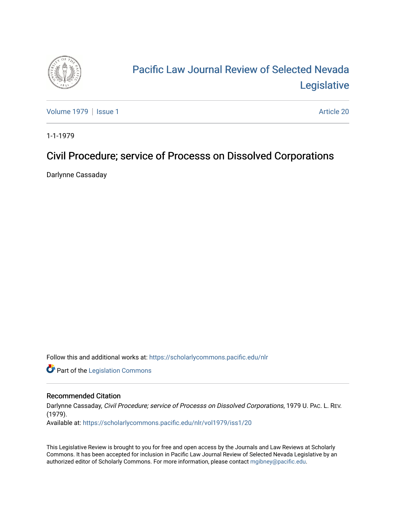

# [Pacific Law Journal Review of Selected Nevada](https://scholarlycommons.pacific.edu/nlr)  [Legislative](https://scholarlycommons.pacific.edu/nlr)

[Volume 1979](https://scholarlycommons.pacific.edu/nlr/vol1979) | [Issue 1](https://scholarlycommons.pacific.edu/nlr/vol1979/iss1) Article 20

1-1-1979

## Civil Procedure; service of Processs on Dissolved Corporations

Darlynne Cassaday

Follow this and additional works at: [https://scholarlycommons.pacific.edu/nlr](https://scholarlycommons.pacific.edu/nlr?utm_source=scholarlycommons.pacific.edu%2Fnlr%2Fvol1979%2Fiss1%2F20&utm_medium=PDF&utm_campaign=PDFCoverPages) 

**Part of the [Legislation Commons](http://network.bepress.com/hgg/discipline/859?utm_source=scholarlycommons.pacific.edu%2Fnlr%2Fvol1979%2Fiss1%2F20&utm_medium=PDF&utm_campaign=PDFCoverPages)** 

#### Recommended Citation

Darlynne Cassaday, Civil Procedure; service of Processs on Dissolved Corporations, 1979 U. PAC. L. REV. (1979). Available at: [https://scholarlycommons.pacific.edu/nlr/vol1979/iss1/20](https://scholarlycommons.pacific.edu/nlr/vol1979/iss1/20?utm_source=scholarlycommons.pacific.edu%2Fnlr%2Fvol1979%2Fiss1%2F20&utm_medium=PDF&utm_campaign=PDFCoverPages)

This Legislative Review is brought to you for free and open access by the Journals and Law Reviews at Scholarly Commons. It has been accepted for inclusion in Pacific Law Journal Review of Selected Nevada Legislative by an authorized editor of Scholarly Commons. For more information, please contact [mgibney@pacific.edu](mailto:mgibney@pacific.edu).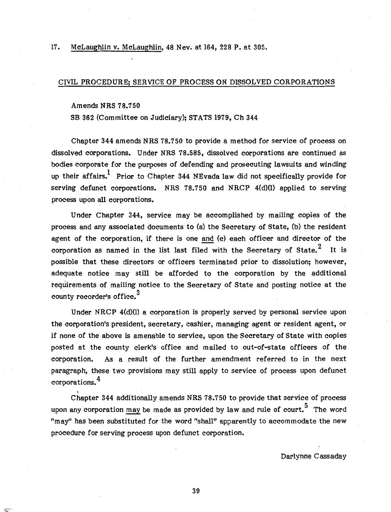17. McLaughlin v. McLaughlin, 48 Nev. at 164, 228 P. at 305.

#### CIVIL PROCEDURE; SERVICE OF PROCESS ON DISSOLVED CORPORATIONS

#### Amends NRS 78.750

SB 362 (Committee on Judiciary}; STATS 1979, Ch 344

Chapter 344 amends NRS 78.750 to provide a method for service of process on dissolved corporations. Under NRS 78.585, dissolved corporations are continued as bodies corporate for the purposes of defending and prosecuting lawsuits and winding up their affairs.<sup>1</sup> Prior to Chapter 344 NEvada law did not specifically provide for serving defunct corporations. NRS 78.750 and NRCP 4(d}(l} applied to serving process upon all corporations.

Under Chapter 344, service may be accomplished by mailing copies of the process and any associated documents to (a} the Secretary of State, (b) the resident agent of the corporation, if there is one and (c) each officer and director of the corporation as named in the list last filed with the Secretary of State. $2$  It is possible that these directors or officers terminated prior to dissolution; however, adequate notice may still be afforded to the corporation by the additional requirements of mailing notice to the Secretary of State and posting notice at the county recorder's office.<sup>3</sup>

Under NRCP 4(d)(l} a corporation is properly served by personal service upon the corporation's president, secretary, cashier, managing agent or resident agent, or if none of the above is amenable to service, upon the Secretary of State with copies posted at the county clerk's office and mailed to out-of-state officers of the corporation. As a result of the further amendment referred to in the next paragraph, these two provisions may still apply to service of process upon defunct corporations. 4

 $\rm c$ hapter 344 additionally amends NRS 78.750 to provide that service of process upon any corporation  $\frac{may}{may}$  be made as provided by law and rule of court.<sup>5</sup> The word "may" has been substituted for the word "shall" apparently to accommodate the new procedure for serving process upon defunct corporation.

Darlynne Cassaday